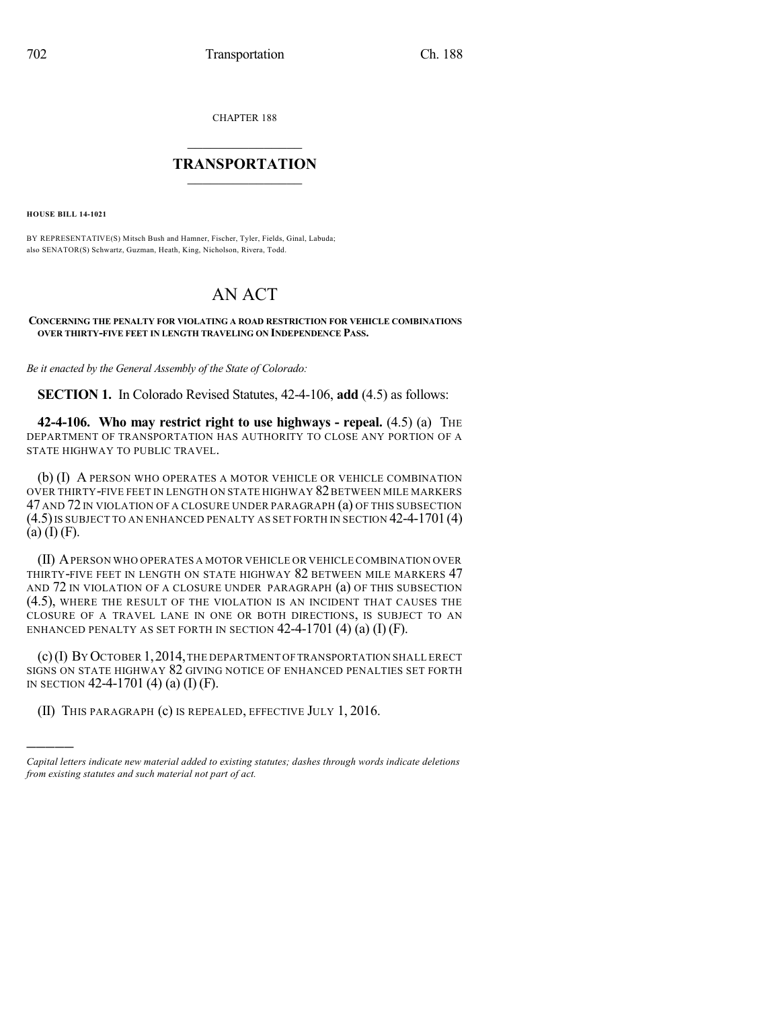CHAPTER 188

## $\overline{\phantom{a}}$  . The set of the set of the set of the set of the set of the set of the set of the set of the set of the set of the set of the set of the set of the set of the set of the set of the set of the set of the set o **TRANSPORTATION**  $\_$   $\_$   $\_$   $\_$   $\_$   $\_$   $\_$   $\_$   $\_$

**HOUSE BILL 14-1021**

)))))

BY REPRESENTATIVE(S) Mitsch Bush and Hamner, Fischer, Tyler, Fields, Ginal, Labuda; also SENATOR(S) Schwartz, Guzman, Heath, King, Nicholson, Rivera, Todd.

## AN ACT

## **CONCERNING THE PENALTY FOR VIOLATING A ROAD RESTRICTION FOR VEHICLE COMBINATIONS OVER THIRTY-FIVE FEET IN LENGTH TRAVELING ON INDEPENDENCE PASS.**

*Be it enacted by the General Assembly of the State of Colorado:*

**SECTION 1.** In Colorado Revised Statutes, 42-4-106, **add** (4.5) as follows:

**42-4-106. Who may restrict right to use highways - repeal.** (4.5) (a) THE DEPARTMENT OF TRANSPORTATION HAS AUTHORITY TO CLOSE ANY PORTION OF A STATE HIGHWAY TO PUBLIC TRAVEL.

(b) (I) A PERSON WHO OPERATES A MOTOR VEHICLE OR VEHICLE COMBINATION OVER THIRTY-FIVE FEET IN LENGTH ON STATE HIGHWAY 82 BETWEEN MILE MARKERS 47 AND 72IN VIOLATION OF A CLOSURE UNDER PARAGRAPH (a) OF THIS SUBSECTION (4.5)IS SUBJECT TO AN ENHANCED PENALTY AS SET FORTH IN SECTION 42-4-1701(4)  $(a)$  (I) (F).

(II) APERSON WHO OPERATES A MOTOR VEHICLE OR VEHICLE COMBINATION OVER THIRTY-FIVE FEET IN LENGTH ON STATE HIGHWAY 82 BETWEEN MILE MARKERS 47 AND 72 IN VIOLATION OF A CLOSURE UNDER PARAGRAPH (a) OF THIS SUBSECTION (4.5), WHERE THE RESULT OF THE VIOLATION IS AN INCIDENT THAT CAUSES THE CLOSURE OF A TRAVEL LANE IN ONE OR BOTH DIRECTIONS, IS SUBJECT TO AN ENHANCED PENALTY AS SET FORTH IN SECTION  $42-4-1701$  (4) (a) (I) (F).

(c)(I) BY OCTOBER 1,2014,THE DEPARTMENT OFTRANSPORTATION SHALL ERECT SIGNS ON STATE HIGHWAY 82 GIVING NOTICE OF ENHANCED PENALTIES SET FORTH IN SECTION 42-4-1701 (4) (a) (I) (F).

(II) THIS PARAGRAPH (c) IS REPEALED, EFFECTIVE JULY 1, 2016.

*Capital letters indicate new material added to existing statutes; dashes through words indicate deletions from existing statutes and such material not part of act.*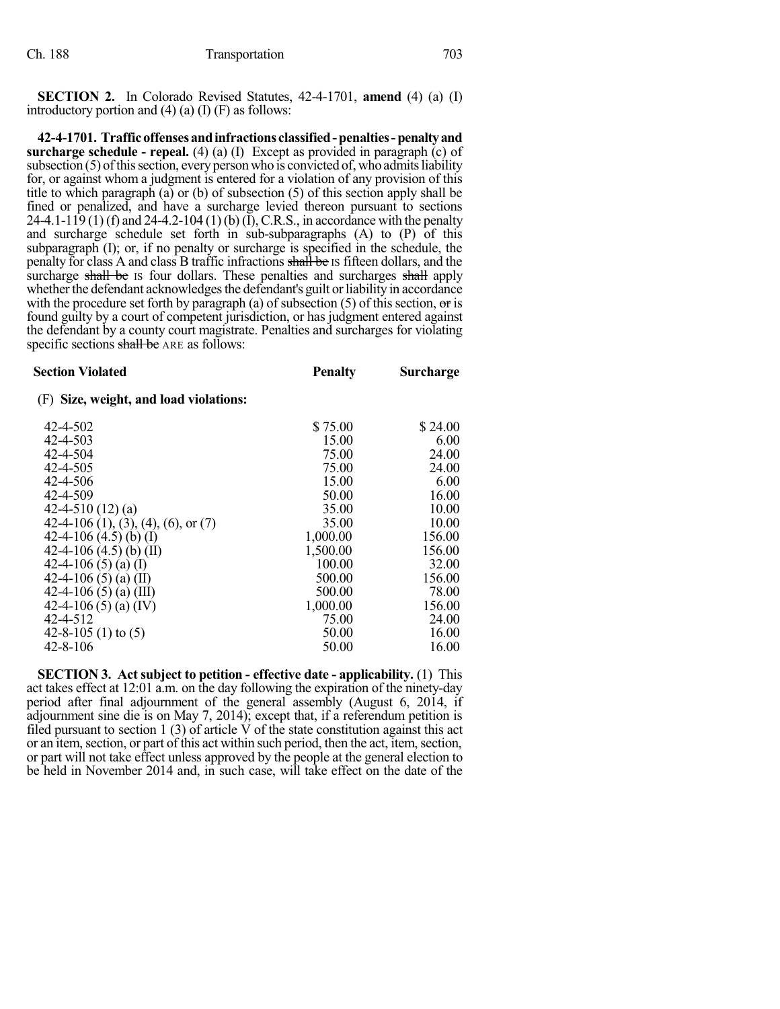**SECTION 2.** In Colorado Revised Statutes, 42-4-1701, **amend** (4) (a) (I) introductory portion and  $(4)$   $(a)$   $(I)$   $(F)$  as follows:

**42-4-1701. Trafficoffensesandinfractions classified-penalties-penaltyand surcharge schedule - repeal.** (4) (a) (I) Except as provided in paragraph (c) of subsection  $(5)$  of this section, every person who is convicted of, who admits liability for, or against whom a judgment is entered for a violation of any provision of this title to which paragraph (a) or (b) of subsection (5) of this section apply shall be fined or penalized, and have a surcharge levied thereon pursuant to sections 24-4.1-119 (1) (f) and 24-4.2-104 (1) (b) (I), C.R.S., in accordance with the penalty and surcharge schedule set forth in sub-subparagraphs (A) to (P) of this subparagraph (I); or, if no penalty or surcharge is specified in the schedule, the penalty for class A and class B traffic infractions shall be IS fifteen dollars, and the surcharge shall be IS four dollars. These penalties and surcharges shall apply whether the defendant acknowledges the defendant's guilt or liability in accordance with the procedure set forth by paragraph (a) of subsection (5) of this section,  $\sigma$ r is found guilty by a court of competent jurisdiction, or has judgment entered against the defendant by a county court magistrate. Penalties and surcharges for violating specific sections shall be ARE as follows:

| <b>Section Violated</b>                | <b>Penalty</b> | <b>Surcharge</b> |
|----------------------------------------|----------------|------------------|
| (F) Size, weight, and load violations: |                |                  |
| 42-4-502                               | \$75.00        | \$24.00          |
| 42-4-503                               | 15.00          | 6.00             |
| 42-4-504                               | 75.00          | 24.00            |
| 42-4-505                               | 75.00          | 24.00            |
| 42-4-506                               | 15.00          | 6.00             |
| 42-4-509                               | 50.00          | 16.00            |
| 42-4-510 $(12)(a)$                     | 35.00          | 10.00            |
| 42-4-106 (1), (3), (4), (6), or (7)    | 35.00          | 10.00            |
| 42-4-106 $(4.5)$ (b) (I)               | 1,000.00       | 156.00           |
| 42-4-106 $(4.5)$ (b) (II)              | 1,500.00       | 156.00           |
| 42-4-106 (5) (a) (I)                   | 100.00         | 32.00            |
| 42-4-106 (5) (a) (II)                  | 500.00         | 156.00           |
| 42-4-106 (5) (a) (III)                 | 500.00         | 78.00            |
| 42-4-106 (5) (a) (IV)                  | 1,000.00       | 156.00           |
| 42-4-512                               | 75.00          | 24.00            |
| 42-8-105 (1) to $(5)$                  | 50.00          | 16.00            |
| $42 - 8 - 106$                         | 50.00          | 16.00            |

**SECTION 3. Act subject to petition - effective date - applicability.** (1) This act takes effect at 12:01 a.m. on the day following the expiration of the ninety-day period after final adjournment of the general assembly (August 6, 2014, if adjournment sine die is on May 7, 2014); except that, if a referendum petition is filed pursuant to section 1 (3) of article  $\dot{V}$  of the state constitution against this act or an item, section, or part of this act within such period, then the act, item, section, or part will not take effect unless approved by the people at the general election to be held in November 2014 and, in such case, will take effect on the date of the